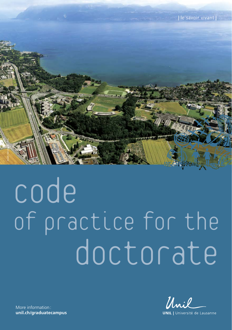

# doctorate Code of practice for the

Unil **UNIL** | Université de Lausanne

More information: : **unil.ch/graduatecampus**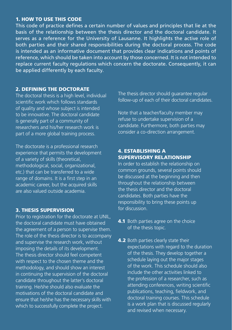### 1. HOW TO USE THIS CODE

This code of practice defines a certain number of values and principles that lie at the basis of the relationship between the thesis director and the doctoral candidate. It serves as a reference for the University of Lausanne. It highlights the active role of both parties and their shared responsibilities during the doctoral process. The code is intended as an informative document that provides clear indications and points of reference, which should be taken into account by those concerned. It is not intended to replace current faculty regulations which concern the doctorate. Consequently, it can be applied differently by each faculty.

### 2. DEFINING THE DOCTORATE

The doctoral thesis is a high level, individual scientific work which follows standards of quality and whose subject is intended to be innovative. The doctoral candidate is generally part of a community of researchers and his/her research work is part of a more global training process.

The doctorate is a professional research experience that permits the development of a variety of skills (theoretical, methodological, social, organizational, etc.) that can be transferred to a wide range of domains. It is a first step in an academic career, but the acquired skills are also valued outside academia.

### 3. THESIS SUPERVISION

Prior to registration for the doctorate at UNIL. the doctoral candidate must have obtained the agreement of a person to supervise them. The role of the thesis director is to accompany and supervise the research work, without imposing the details of its development. The thesis director should feel competent with respect to the chosen theme and the methodology, and should show an interest in continuing the supervision of the doctoral candidate throughout the latter's doctoral training. He/she should also evaluate the motivations of the doctoral candidate and ensure that he/she has the necessary skills with which to successfully complete the project.

The thesis director should guarantee regular follow-up of each of their doctoral candidates.

Note that a teacher/faculty member may refuse to undertake supervision of a candidate. Furthermore, both parties may consider a co-direction arrangement.

## 4. ESTABLISHING A SUPERVISORY RELATIONSHIP

In order to establish the relationship on common grounds, several points should be discussed at the beginning and then throughout the relationship between the thesis director and the doctoral candidates. Both parties have the responsibility to bring these points up for discussion.

- 4.1 Both parties agree on the choice of the thesis topic.
- 4.2 Both parties clearly state their expectations with regard to the duration of the thesis. They develop together a schedule laying out the major stages of the work. This schedule should also include the other activities linked to the profession of a researcher, such as attending conferences, writing scientific publications, teaching, fieldwork, and doctoral training courses. This schedule is a work plan that is discussed regularly and revised when necessary.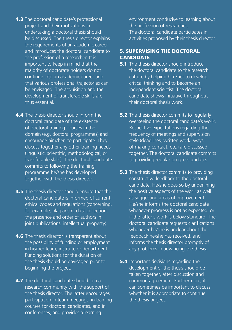- 4.3 The doctoral candidate's professional project and their motivations in undertaking a doctoral thesis should be discussed. The thesis director explains the requirements of an academic career and introduces the doctoral candidate to the profession of a researcher. It is important to keep in mind that the majority of doctorate holders do not continue into an academic career and that various professional trajectories can be envisaged. The acquisition and the development of transferable skills are thus essential.
- 4.4 The thesis director should inform the doctoral candidate of the existence of doctoral training courses in the domain (e.g. doctoral programmes) and encourage him/her to participate. They discuss together any other training needs (linguistic, scientific, methodological, or transferable skills). The doctoral candidate commits to following the training programme he/she has developed together with the thesis director.
- **4.5** The thesis director should ensure that the doctoral candidate is informed of current ethical codes and regulations (concerning, for example, plagiarism, data collection, the presence and order of authors in joint publications, intellectual property).
- 4.6 The thesis director is transparent about the possibility of funding or employment in his/her team, institute or department. Funding solutions for the duration of the thesis should be envisaged prior to beginning the project.
- 4.7 The doctoral candidate should join a research community with the support of the thesis director. The latter encourages participation in team meetings, in training courses for doctoral candidates, and in conferences, and provides a learning

environment conducive to learning about the profession of researcher. The doctoral candidate participates in activities proposed by their thesis director.

# 5. SUPERVISING THE DOCTORAL **CANDIDATE**

- **5.1** The thesis director should introduce the doctoral candidate to the research culture by helping him/her to develop critical thinking and to become an independent scientist. The doctoral candidate shows initiative throughout their doctoral thesis work.
- **5.2** The thesis director commits to regularly overseeing the doctoral candidate's work. Respective expectations regarding the frequency of meetings and supervision style (deadlines, written work, ways of making contact, etc.) are discussed together. The doctoral candidate commits to providing regular progress updates.
- **5.3** The thesis director commits to providing constructive feedback to the doctoral candidate. He/she does so by underlining the positive aspects of the work as well as suggesting areas of improvement. He/she informs the doctoral candidate whenever progress is not as expected, or if the latter's work is below standard. The doctoral candidate requests clarifications whenever he/she is unclear about the feedback he/she has received, and informs the thesis director promptly of any problems in advancing the thesis.
- **5.4** Important decisions regarding the development of the thesis should be taken together, after discussion and common agreement. Furthermore, it can sometimes be important to discuss whether it is appropriate to continue the thesis project.